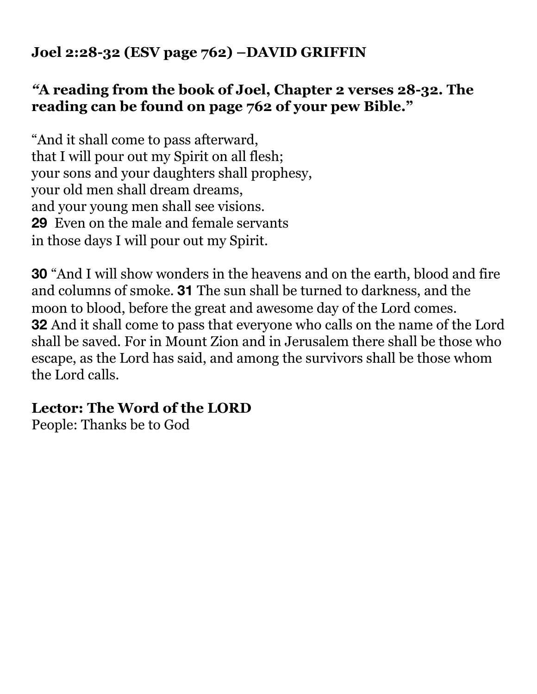# **Joel 2:28-32 (ESV page 762) –DAVID GRIFFIN**

## *"***A reading from the book of Joel, Chapter 2 verses 28-32. The reading can be found on page 762 of your pew Bible."**

"And it shall come to pass afterward, that I will pour out my Spirit on all flesh; your sons and your daughters shall prophesy, your old men shall dream dreams, and your young men shall see visions. **29** Even on the male and female servants in those days I will pour out my Spirit.

**30** "And I will show wonders in the heavens and on the earth, blood and fire and columns of smoke. **31** The sun shall be turned to darkness, and the moon to blood, before the great and awesome day of the Lord comes. **32** And it shall come to pass that everyone who calls on the name of the Lord shall be saved. For in Mount Zion and in Jerusalem there shall be those who escape, as the Lord has said, and among the survivors shall be those whom the Lord calls.

# **Lector: The Word of the LORD**

People: Thanks be to God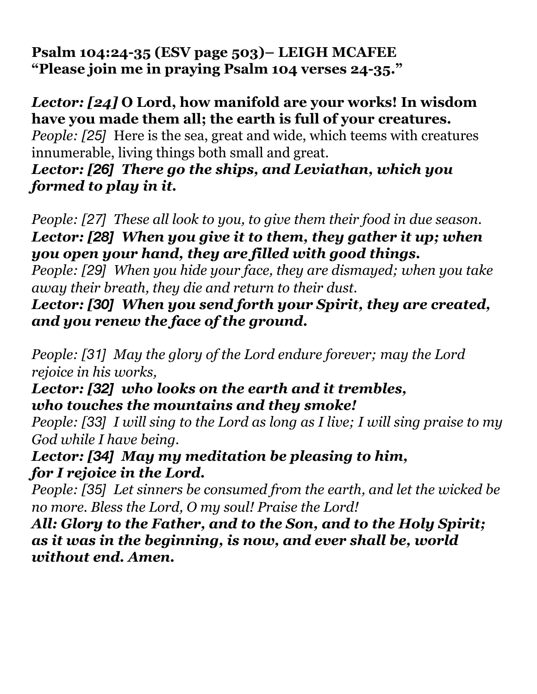**Psalm 104:24-35 (ESV page 503)– LEIGH MCAFEE "Please join me in praying Psalm 104 verses 24-35."** 

# *Lector: [24]* **O Lord, how manifold are your works! In wisdom have you made them all; the earth is full of your creatures.**

*People: [25]* Here is the sea, great and wide, which teems with creatures innumerable, living things both small and great.

# *Lector: [26] There go the ships, and Leviathan, which you formed to play in it.*

*People: [27] These all look to you, to give them their food in due season. Lector: [28] When you give it to them, they gather it up; when you open your hand, they are filled with good things.* 

*People: [29] When you hide your face, they are dismayed; when you take away their breath, they die and return to their dust.* 

*Lector: [30] When you send forth your Spirit, they are created, and you renew the face of the ground.* 

*People: [31] May the glory of the Lord endure forever; may the Lord rejoice in his works,* 

## *Lector: [32] who looks on the earth and it trembles, who touches the mountains and they smoke!*

*People: [33] I will sing to the Lord as long as I live; I will sing praise to my God while I have being.*

# *Lector: [34] May my meditation be pleasing to him, for I rejoice in the Lord.*

*People: [35] Let sinners be consumed from the earth, and let the wicked be no more. Bless the Lord, O my soul! Praise the Lord!*

*All: Glory to the Father, and to the Son, and to the Holy Spirit; as it was in the beginning, is now, and ever shall be, world without end. Amen.*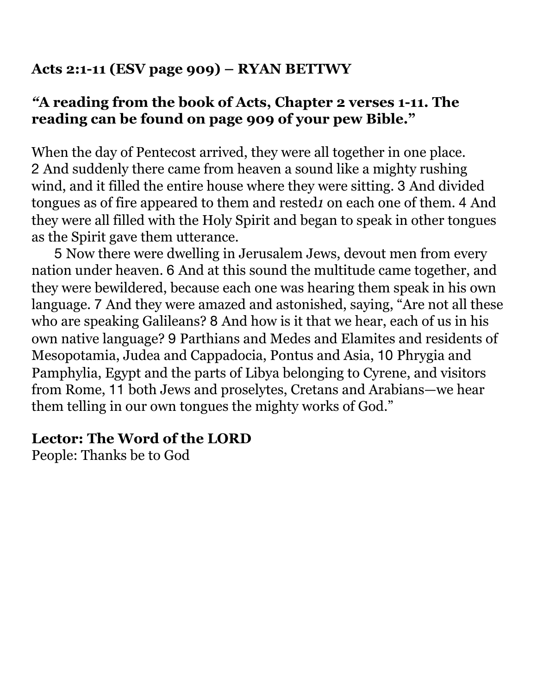# **Acts 2:1-11 (ESV page 909) – RYAN BETTWY**

## *"***A reading from the book of Acts, Chapter 2 verses 1-11. The reading can be found on page 909 of your pew Bible."**

When the day of Pentecost arrived, they were all together in one place. 2 And suddenly there came from heaven a sound like a mighty rushing wind, and it filled the entire house where they were sitting. 3 And divided tongues as of fire appeared to them and rested*1* on each one of them. 4 And they were all filled with the Holy Spirit and began to speak in other tongues as the Spirit gave them utterance.

5 Now there were dwelling in Jerusalem Jews, devout men from every nation under heaven. 6 And at this sound the multitude came together, and they were bewildered, because each one was hearing them speak in his own language. 7 And they were amazed and astonished, saying, "Are not all these who are speaking Galileans? 8 And how is it that we hear, each of us in his own native language? 9 Parthians and Medes and Elamites and residents of Mesopotamia, Judea and Cappadocia, Pontus and Asia, 10 Phrygia and Pamphylia, Egypt and the parts of Libya belonging to Cyrene, and visitors from Rome, 11 both Jews and proselytes, Cretans and Arabians—we hear them telling in our own tongues the mighty works of God."

#### **Lector: The Word of the LORD**

People: Thanks be to God